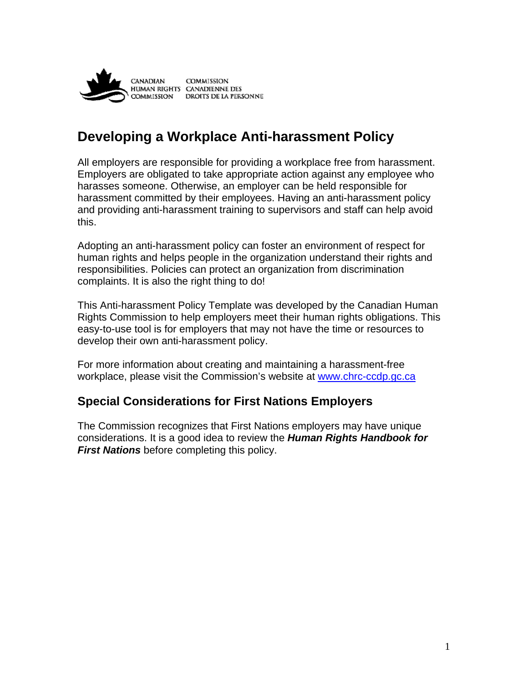

# **Developing a Workplace Anti-harassment Policy**

All employers are responsible for providing a workplace free from harassment. Employers are obligated to take appropriate action against any employee who harasses someone. Otherwise, an employer can be held responsible for harassment committed by their employees. Having an anti-harassment policy and providing anti-harassment training to supervisors and staff can help avoid this.

Adopting an anti-harassment policy can foster an environment of respect for human rights and helps people in the organization understand their rights and responsibilities. Policies can protect an organization from discrimination complaints. It is also the right thing to do!

This Anti-harassment Policy Template was developed by the Canadian Human Rights Commission to help employers meet their human rights obligations. This easy-to-use tool is for employers that may not have the time or resources to develop their own anti-harassment policy.

For more information about creating and maintaining a harassment-free workplace, please visit the Commission's website at www.chrc-ccdp.gc.ca

### **Special Considerations for First Nations Employers**

The Commission recognizes that First Nations employers may have unique considerations. It is a good idea to review the *Human Rights Handbook for First Nations* before completing this policy.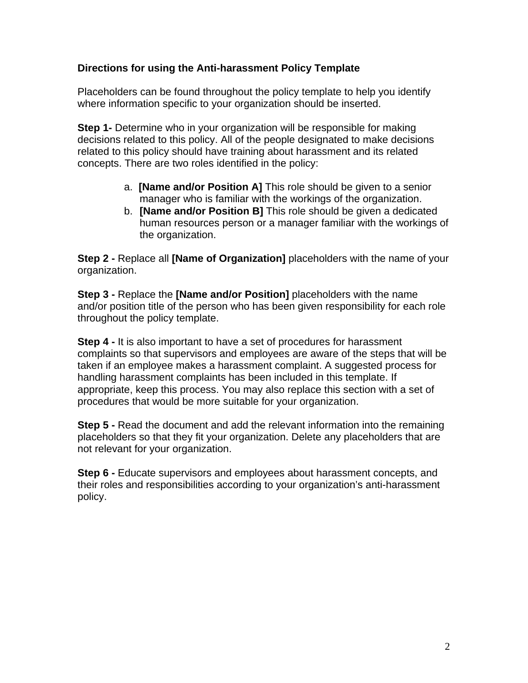#### **Directions for using the Anti-harassment Policy Template**

Placeholders can be found throughout the policy template to help you identify where information specific to your organization should be inserted.

**Step 1-** Determine who in your organization will be responsible for making decisions related to this policy. All of the people designated to make decisions related to this policy should have training about harassment and its related concepts. There are two roles identified in the policy:

- a. **[Name and/or Position A]** This role should be given to a senior manager who is familiar with the workings of the organization.
- b. **[Name and/or Position B]** This role should be given a dedicated human resources person or a manager familiar with the workings of the organization.

**Step 2 -** Replace all **[Name of Organization]** placeholders with the name of your organization.

**Step 3 -** Replace the **[Name and/or Position]** placeholders with the name and/or position title of the person who has been given responsibility for each role throughout the policy template.

**Step 4 -** It is also important to have a set of procedures for harassment complaints so that supervisors and employees are aware of the steps that will be taken if an employee makes a harassment complaint. A suggested process for handling harassment complaints has been included in this template. If appropriate, keep this process. You may also replace this section with a set of procedures that would be more suitable for your organization.

**Step 5 -** Read the document and add the relevant information into the remaining placeholders so that they fit your organization. Delete any placeholders that are not relevant for your organization.

**Step 6 -** Educate supervisors and employees about harassment concepts, and their roles and responsibilities according to your organization's anti-harassment policy.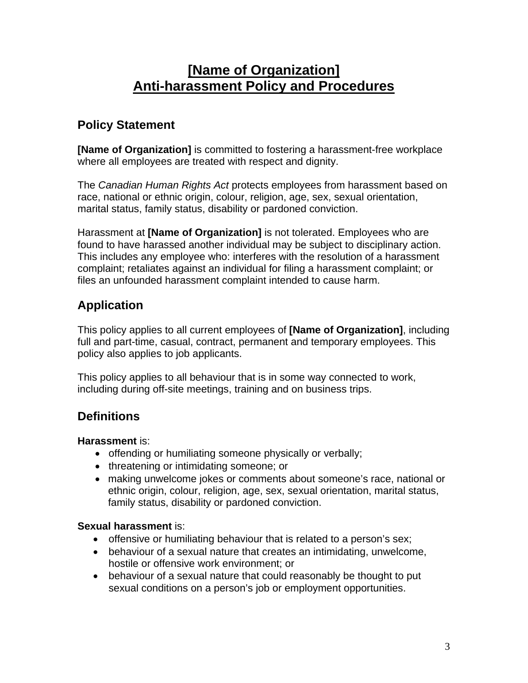# **[Name of Organization] Anti-harassment Policy and Procedures**

## **Policy Statement**

**[Name of Organization]** is committed to fostering a harassment-free workplace where all employees are treated with respect and dignity.

The *Canadian Human Rights Act* protects employees from harassment based on race, national or ethnic origin, colour, religion, age, sex, sexual orientation, marital status, family status, disability or pardoned conviction.

Harassment at **[Name of Organization]** is not tolerated. Employees who are found to have harassed another individual may be subject to disciplinary action. This includes any employee who: interferes with the resolution of a harassment complaint; retaliates against an individual for filing a harassment complaint; or files an unfounded harassment complaint intended to cause harm.

# **Application**

This policy applies to all current employees of **[Name of Organization]**, including full and part-time, casual, contract, permanent and temporary employees. This policy also applies to job applicants.

This policy applies to all behaviour that is in some way connected to work, including during off-site meetings, training and on business trips.

# **Definitions**

**Harassment** is:

- offending or humiliating someone physically or verbally;
- threatening or intimidating someone; or
- making unwelcome jokes or comments about someone's race, national or ethnic origin, colour, religion, age, sex, sexual orientation, marital status, family status, disability or pardoned conviction.

#### **Sexual harassment** is:

- offensive or humiliating behaviour that is related to a person's sex;
- behaviour of a sexual nature that creates an intimidating, unwelcome, hostile or offensive work environment; or
- behaviour of a sexual nature that could reasonably be thought to put sexual conditions on a person's job or employment opportunities.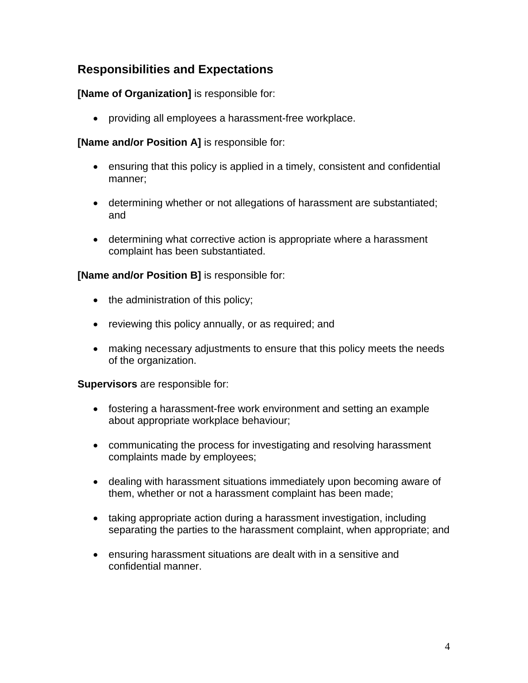## **Responsibilities and Expectations**

#### **[Name of Organization]** is responsible for:

providing all employees a harassment-free workplace.

#### **[Name and/or Position A]** is responsible for:

- ensuring that this policy is applied in a timely, consistent and confidential manner;
- determining whether or not allegations of harassment are substantiated; and
- determining what corrective action is appropriate where a harassment complaint has been substantiated.

#### **[Name and/or Position B]** is responsible for:

- $\bullet$  the administration of this policy;
- reviewing this policy annually, or as required; and
- making necessary adjustments to ensure that this policy meets the needs of the organization.

**Supervisors** are responsible for:

- fostering a harassment-free work environment and setting an example about appropriate workplace behaviour;
- communicating the process for investigating and resolving harassment complaints made by employees;
- dealing with harassment situations immediately upon becoming aware of them, whether or not a harassment complaint has been made;
- taking appropriate action during a harassment investigation, including separating the parties to the harassment complaint, when appropriate; and
- ensuring harassment situations are dealt with in a sensitive and confidential manner.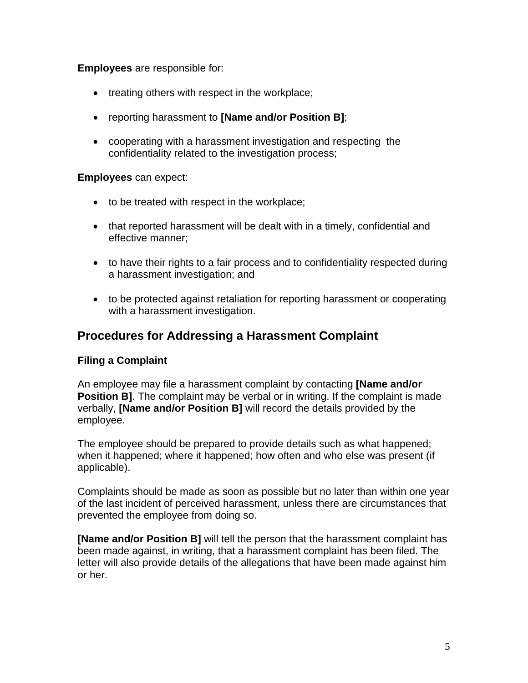**Employees** are responsible for:

- $\bullet$  treating others with respect in the workplace;
- reporting harassment to **[Name and/or Position B]**;
- cooperating with a harassment investigation and respecting the confidentiality related to the investigation process;

#### **Employees** can expect:

- to be treated with respect in the workplace;
- that reported harassment will be dealt with in a timely, confidential and effective manner;
- to have their rights to a fair process and to confidentiality respected during a harassment investigation; and
- to be protected against retaliation for reporting harassment or cooperating with a harassment investigation.

### **Procedures for Addressing a Harassment Complaint**

#### **Filing a Complaint**

An employee may file a harassment complaint by contacting **[Name and/or Position B]**. The complaint may be verbal or in writing. If the complaint is made verbally, **[Name and/or Position B]** will record the details provided by the employee.

The employee should be prepared to provide details such as what happened; when it happened; where it happened; how often and who else was present (if applicable).

Complaints should be made as soon as possible but no later than within one year of the last incident of perceived harassment, unless there are circumstances that prevented the employee from doing so.

**[Name and/or Position B]** will tell the person that the harassment complaint has been made against, in writing, that a harassment complaint has been filed. The letter will also provide details of the allegations that have been made against him or her.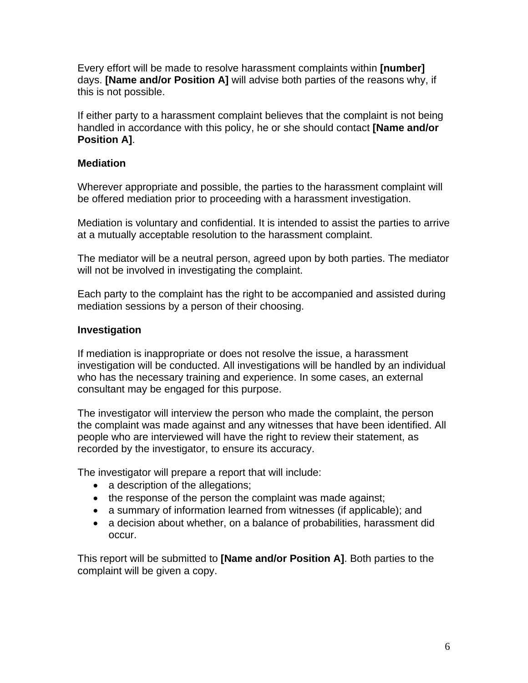Every effort will be made to resolve harassment complaints within **[number]** days. **[Name and/or Position A]** will advise both parties of the reasons why, if this is not possible.

If either party to a harassment complaint believes that the complaint is not being handled in accordance with this policy, he or she should contact **[Name and/or Position A]**.

#### **Mediation**

Wherever appropriate and possible, the parties to the harassment complaint will be offered mediation prior to proceeding with a harassment investigation.

Mediation is voluntary and confidential. It is intended to assist the parties to arrive at a mutually acceptable resolution to the harassment complaint.

The mediator will be a neutral person, agreed upon by both parties. The mediator will not be involved in investigating the complaint.

Each party to the complaint has the right to be accompanied and assisted during mediation sessions by a person of their choosing.

#### **Investigation**

If mediation is inappropriate or does not resolve the issue, a harassment investigation will be conducted. All investigations will be handled by an individual who has the necessary training and experience. In some cases, an external consultant may be engaged for this purpose.

The investigator will interview the person who made the complaint, the person the complaint was made against and any witnesses that have been identified. All people who are interviewed will have the right to review their statement, as recorded by the investigator, to ensure its accuracy.

The investigator will prepare a report that will include:

- a description of the allegations;
- the response of the person the complaint was made against;
- a summary of information learned from witnesses (if applicable); and
- a decision about whether, on a balance of probabilities, harassment did occur.

This report will be submitted to **[Name and/or Position A]**. Both parties to the complaint will be given a copy.